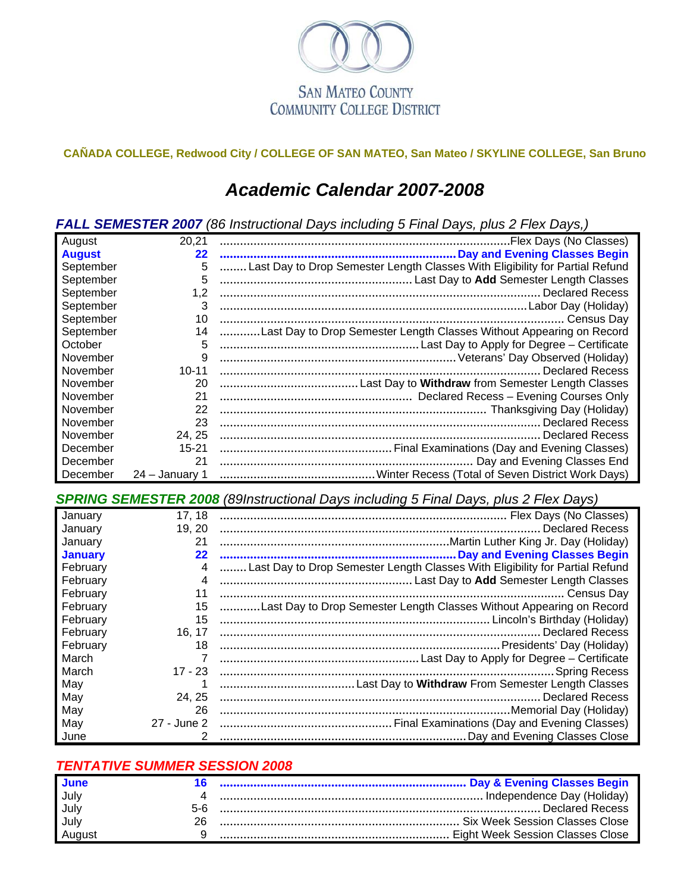

#### **CAÑADA COLLEGE, Redwood City / COLLEGE OF SAN MATEO, San Mateo / SKYLINE COLLEGE, San Bruno**

## *Academic Calendar 2007-2008*

*FALL SEMESTER 2007 (86 Instructional Days including 5 Final Days, plus 2 Flex Days,)*

| August        | 20,21          |                                                                              |
|---------------|----------------|------------------------------------------------------------------------------|
| <b>August</b> | 22             |                                                                              |
| September     | 5              | Last Day to Drop Semester Length Classes With Eligibility for Partial Refund |
| September     | 5              |                                                                              |
| September     | 1,2            |                                                                              |
| September     | 3              |                                                                              |
| September     | 10             | . Census Day                                                                 |
| September     | 14             | Last Day to Drop Semester Length Classes Without Appearing on Record         |
| October       | 5              |                                                                              |
| November      | 9              |                                                                              |
| November      | $10 - 11$      | Declared Recess                                                              |
| November      | 20             |                                                                              |
| November      | 21             |                                                                              |
| November      | 22             |                                                                              |
| November      | 23             |                                                                              |
| November      | 24, 25         |                                                                              |
| December      | $15 - 21$      |                                                                              |
| December      | 21             |                                                                              |
| December      | 24 – January 1 |                                                                              |

*SPRING SEMESTER 2008 (89Instructional Days including 5 Final Days, plus 2 Flex Days)*

| January        | 17, 18            |                                                                              |
|----------------|-------------------|------------------------------------------------------------------------------|
| January        | 19, 20            | Declared Recess                                                              |
| January        | 21                |                                                                              |
| <b>January</b> | $22 \overline{)}$ |                                                                              |
| February       | 4                 | Last Day to Drop Semester Length Classes With Eligibility for Partial Refund |
| February       | 4                 |                                                                              |
| February       | 11                |                                                                              |
| February       | 15                | Last Day to Drop Semester Length Classes Without Appearing on Record         |
| February       | 15                | Lincoln's Birthday (Holiday)                                                 |
| February       | 16, 17            |                                                                              |
| February       | 18                |                                                                              |
| March          |                   |                                                                              |
| March          | $17 - 23$         | . Spring Recess                                                              |
| May            |                   |                                                                              |
| May            | 24, 25            | <b>Declared Recess</b>                                                       |
| May            | 26                |                                                                              |
| May            | 27 - June 2       |                                                                              |
| June           | 2                 |                                                                              |

#### *TENTATIVE SUMMER SESSION 2008*

| <b>June</b> |  |
|-------------|--|
| July        |  |
| July        |  |
| July        |  |
| August      |  |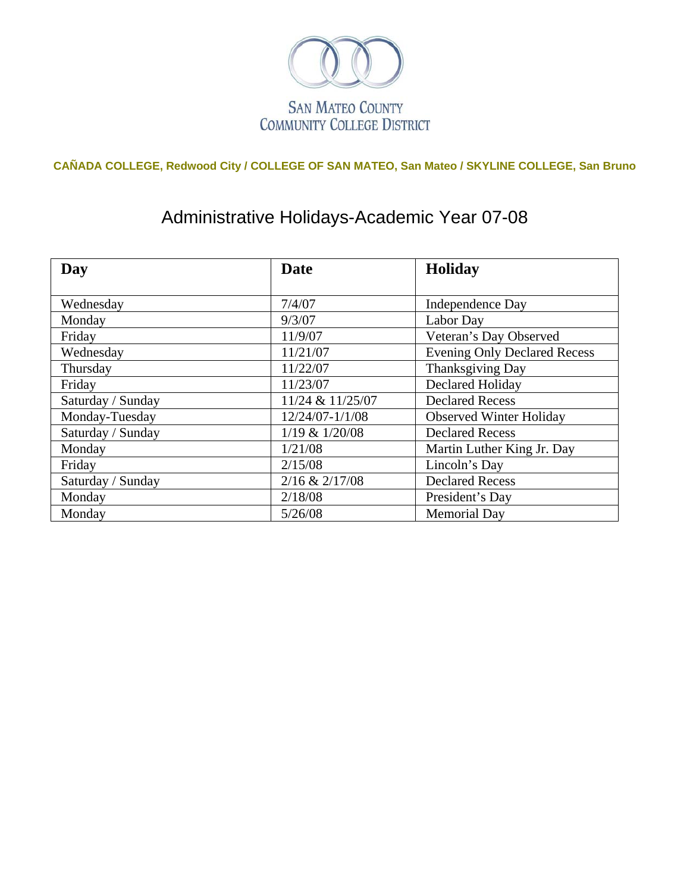

## **CAÑADA COLLEGE, Redwood City / COLLEGE OF SAN MATEO, San Mateo / SKYLINE COLLEGE, San Bruno**

# Administrative Holidays-Academic Year 07-08

| Day               | <b>Date</b>        | <b>Holiday</b>                      |
|-------------------|--------------------|-------------------------------------|
|                   |                    |                                     |
| Wednesday         | 7/4/07             | <b>Independence Day</b>             |
| Monday            | 9/3/07             | Labor Day                           |
| Friday            | 11/9/07            | Veteran's Day Observed              |
| Wednesday         | 11/21/07           | <b>Evening Only Declared Recess</b> |
| Thursday          | 11/22/07           | Thanksgiving Day                    |
| Friday            | 11/23/07           | <b>Declared Holiday</b>             |
| Saturday / Sunday | 11/24 & 11/25/07   | <b>Declared Recess</b>              |
| Monday-Tuesday    | 12/24/07-1/1/08    | <b>Observed Winter Holiday</b>      |
| Saturday / Sunday | 1/19 & 1/20/08     | <b>Declared Recess</b>              |
| Monday            | 1/21/08            | Martin Luther King Jr. Day          |
| Friday            | 2/15/08            | Lincoln's Day                       |
| Saturday / Sunday | $2/16$ & $2/17/08$ | <b>Declared Recess</b>              |
| Monday            | 2/18/08            | President's Day                     |
| Monday            | 5/26/08            | <b>Memorial Day</b>                 |